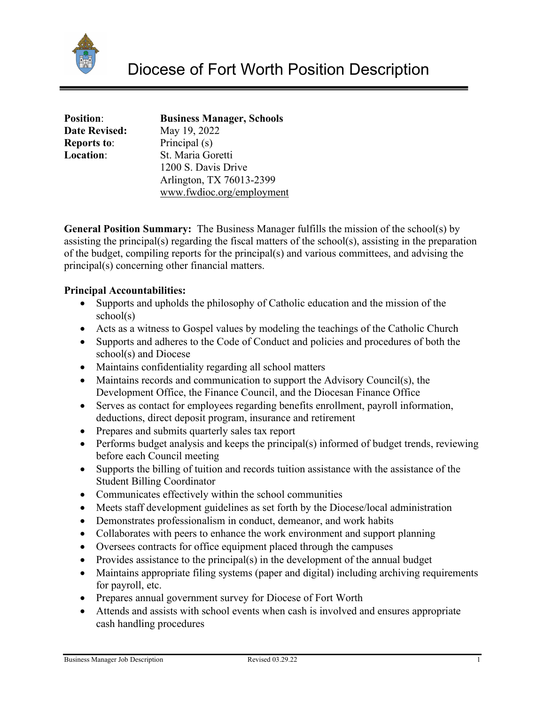

| <b>Position:</b>     |  |
|----------------------|--|
| <b>Date Revised:</b> |  |
| <b>Reports to:</b>   |  |
| <b>Location:</b>     |  |
|                      |  |

**Position**: **Business Manager, Schools Date Revised:** May 19, 2022 Principal (s) **St. Maria Goretti**  1200 S. Davis Drive Arlington, TX 76013-2399 [www.fwdioc.org/employment](http://www.fwdioc.org/employment) 

**General Position Summary:** The Business Manager fulfills the mission of the school(s) by assisting the principal(s) regarding the fiscal matters of the school(s), assisting in the preparation of the budget, compiling reports for the principal(s) and various committees, and advising the principal(s) concerning other financial matters.

# **Principal Accountabilities:**

- Supports and upholds the philosophy of Catholic education and the mission of the school(s)
- Acts as a witness to Gospel values by modeling the teachings of the Catholic Church
- Supports and adheres to the Code of Conduct and policies and procedures of both the school(s) and Diocese
- Maintains confidentiality regarding all school matters
- Maintains records and communication to support the Advisory Council(s), the Development Office, the Finance Council, and the Diocesan Finance Office
- Serves as contact for employees regarding benefits enrollment, payroll information, deductions, direct deposit program, insurance and retirement
- Prepares and submits quarterly sales tax report
- Performs budget analysis and keeps the principal(s) informed of budget trends, reviewing before each Council meeting
- Supports the billing of tuition and records tuition assistance with the assistance of the Student Billing Coordinator
- Communicates effectively within the school communities
- Meets staff development guidelines as set forth by the Diocese/local administration
- Demonstrates professionalism in conduct, demeanor, and work habits
- Collaborates with peers to enhance the work environment and support planning
- Oversees contracts for office equipment placed through the campuses
- Provides assistance to the principal(s) in the development of the annual budget
- Maintains appropriate filing systems (paper and digital) including archiving requirements for payroll, etc.
- Prepares annual government survey for Diocese of Fort Worth
- Attends and assists with school events when cash is involved and ensures appropriate cash handling procedures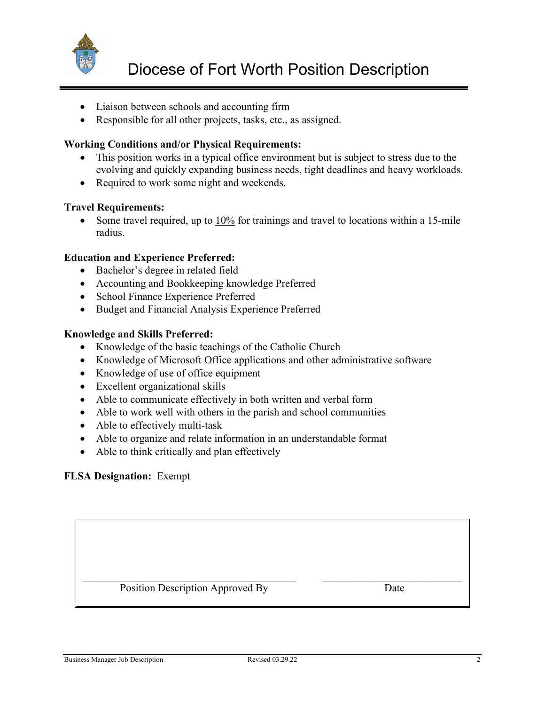

- Liaison between schools and accounting firm
- Responsible for all other projects, tasks, etc., as assigned.

## **Working Conditions and/or Physical Requirements:**

- This position works in a typical office environment but is subject to stress due to the evolving and quickly expanding business needs, tight deadlines and heavy workloads.
- Required to work some night and weekends.

### **Travel Requirements:**

• Some travel required, up to 10% for trainings and travel to locations within a 15-mile radius.

### **Education and Experience Preferred:**

- Bachelor's degree in related field
- Accounting and Bookkeeping knowledge Preferred
- School Finance Experience Preferred
- Budget and Financial Analysis Experience Preferred

### **Knowledge and Skills Preferred:**

- Knowledge of the basic teachings of the Catholic Church
- Knowledge of Microsoft Office applications and other administrative software
- Knowledge of use of office equipment
- Excellent organizational skills
- Able to communicate effectively in both written and verbal form
- Able to work well with others in the parish and school communities
- Able to effectively multi-task
- Able to organize and relate information in an understandable format
- Able to think critically and plan effectively

### **FLSA Designation:** Exempt